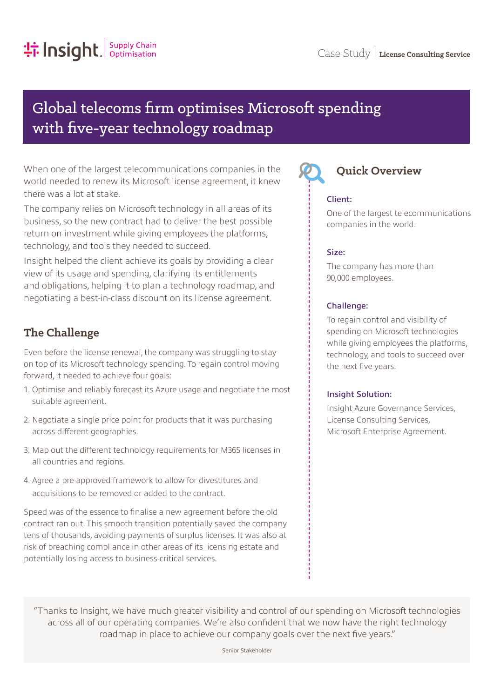# Global telecoms firm optimises Microsoft spending with five-year technology roadmap

When one of the largest telecommunications companies in the world needed to renew its Microsoft license agreement, it knew there was a lot at stake.

The company relies on Microsoft technology in all areas of its business, so the new contract had to deliver the best possible return on investment while giving employees the platforms, technology, and tools they needed to succeed.

Insight helped the client achieve its goals by providing a clear view of its usage and spending, clarifying its entitlements and obligations, helping it to plan a technology roadmap, and negotiating a best-in-class discount on its license agreement.

# **The Challenge**

Even before the license renewal, the company was struggling to stay on top of its Microsoft technology spending. To regain control moving forward, it needed to achieve four goals:

- 1. Optimise and reliably forecast its Azure usage and negotiate the most suitable agreement.
- 2. Negotiate a single price point for products that it was purchasing across different geographies.
- 3. Map out the different technology requirements for M365 licenses in all countries and regions.
- 4. Agree a pre-approved framework to allow for divestitures and acquisitions to be removed or added to the contract.

Speed was of the essence to finalise a new agreement before the old contract ran out. This smooth transition potentially saved the company tens of thousands, avoiding payments of surplus licenses. It was also at risk of breaching compliance in other areas of its licensing estate and potentially losing access to business-critical services.



# **Quick Overview**

#### Client:

One of the largest telecommunications companies in the world.

#### Size:

The company has more than 90,000 employees.

#### Challenge:

To regain control and visibility of spending on Microsoft technologies while giving employees the platforms, technology, and tools to succeed over the next five years.

#### Insight Solution:

Insight Azure Governance Services, License Consulting Services, Microsoft Enterprise Agreement.

"Thanks to Insight, we have much greater visibility and control of our spending on Microsoft technologies across all of our operating companies. We're also confident that we now have the right technology roadmap in place to achieve our company goals over the next five years."